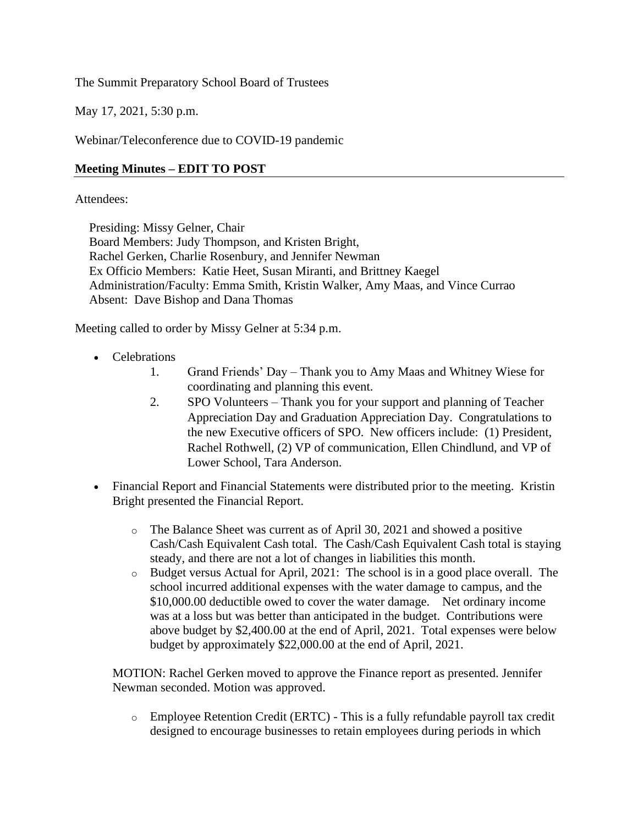The Summit Preparatory School Board of Trustees

May 17, 2021, 5:30 p.m.

Webinar/Teleconference due to COVID-19 pandemic

## **Meeting Minutes – EDIT TO POST**

#### Attendees:

Presiding: Missy Gelner, Chair

Board Members: Judy Thompson, and Kristen Bright, Rachel Gerken, Charlie Rosenbury, and Jennifer Newman Ex Officio Members: Katie Heet, Susan Miranti, and Brittney Kaegel Administration/Faculty: Emma Smith, Kristin Walker, Amy Maas, and Vince Currao Absent: Dave Bishop and Dana Thomas

Meeting called to order by Missy Gelner at 5:34 p.m.

- Celebrations
	- 1. Grand Friends' Day Thank you to Amy Maas and Whitney Wiese for coordinating and planning this event.
	- 2. SPO Volunteers Thank you for your support and planning of Teacher Appreciation Day and Graduation Appreciation Day. Congratulations to the new Executive officers of SPO. New officers include: (1) President, Rachel Rothwell, (2) VP of communication, Ellen Chindlund, and VP of Lower School, Tara Anderson.
- Financial Report and Financial Statements were distributed prior to the meeting. Kristin Bright presented the Financial Report.
	- o The Balance Sheet was current as of April 30, 2021 and showed a positive Cash/Cash Equivalent Cash total. The Cash/Cash Equivalent Cash total is staying steady, and there are not a lot of changes in liabilities this month.
	- o Budget versus Actual for April, 2021: The school is in a good place overall. The school incurred additional expenses with the water damage to campus, and the \$10,000.00 deductible owed to cover the water damage. Net ordinary income was at a loss but was better than anticipated in the budget. Contributions were above budget by \$2,400.00 at the end of April, 2021. Total expenses were below budget by approximately \$22,000.00 at the end of April, 2021.

MOTION: Rachel Gerken moved to approve the Finance report as presented. Jennifer Newman seconded. Motion was approved.

o Employee Retention Credit (ERTC) - This is a fully refundable payroll tax credit designed to encourage businesses to retain employees during periods in which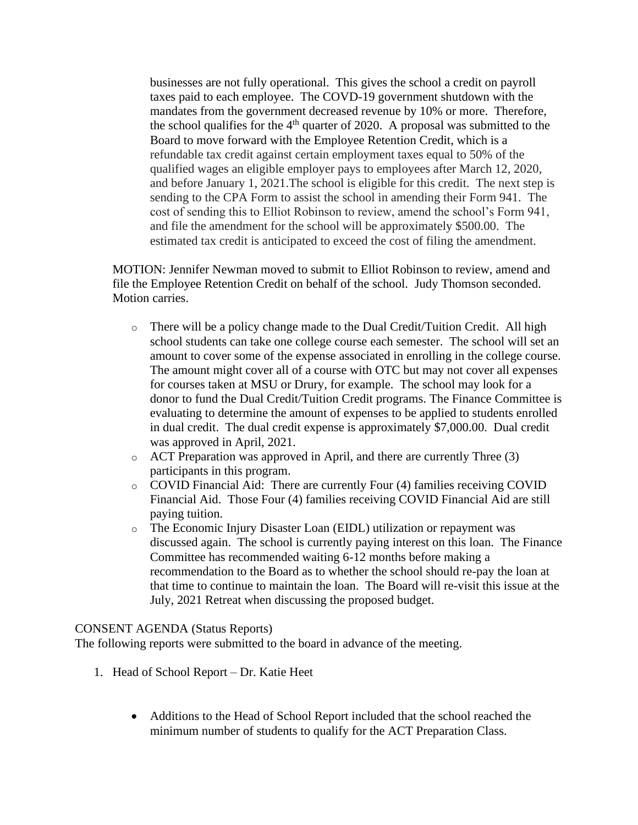businesses are not fully operational. This gives the school a credit on payroll taxes paid to each employee. The COVD-19 government shutdown with the mandates from the government decreased revenue by 10% or more. Therefore, the school qualifies for the  $4<sup>th</sup>$  quarter of 2020. A proposal was submitted to the Board to move forward with the Employee Retention Credit, which is a refundable tax credit against certain employment taxes equal to 50% of the qualified wages an eligible employer pays to employees after March 12, 2020, and before January 1, 2021.The school is eligible for this credit. The next step is sending to the CPA Form to assist the school in amending their Form 941. The cost of sending this to Elliot Robinson to review, amend the school's Form 941, and file the amendment for the school will be approximately \$500.00. The estimated tax credit is anticipated to exceed the cost of filing the amendment.

MOTION: Jennifer Newman moved to submit to Elliot Robinson to review, amend and file the Employee Retention Credit on behalf of the school. Judy Thomson seconded. Motion carries.

- $\circ$  There will be a policy change made to the Dual Credit/Tuition Credit. All high school students can take one college course each semester. The school will set an amount to cover some of the expense associated in enrolling in the college course. The amount might cover all of a course with OTC but may not cover all expenses for courses taken at MSU or Drury, for example. The school may look for a donor to fund the Dual Credit/Tuition Credit programs. The Finance Committee is evaluating to determine the amount of expenses to be applied to students enrolled in dual credit. The dual credit expense is approximately \$7,000.00. Dual credit was approved in April, 2021.
- o ACT Preparation was approved in April, and there are currently Three (3) participants in this program.
- o COVID Financial Aid: There are currently Four (4) families receiving COVID Financial Aid. Those Four (4) families receiving COVID Financial Aid are still paying tuition.
- o The Economic Injury Disaster Loan (EIDL) utilization or repayment was discussed again. The school is currently paying interest on this loan. The Finance Committee has recommended waiting 6-12 months before making a recommendation to the Board as to whether the school should re-pay the loan at that time to continue to maintain the loan. The Board will re-visit this issue at the July, 2021 Retreat when discussing the proposed budget.

#### CONSENT AGENDA (Status Reports)

The following reports were submitted to the board in advance of the meeting.

- 1. Head of School Report Dr. Katie Heet
	- Additions to the Head of School Report included that the school reached the minimum number of students to qualify for the ACT Preparation Class.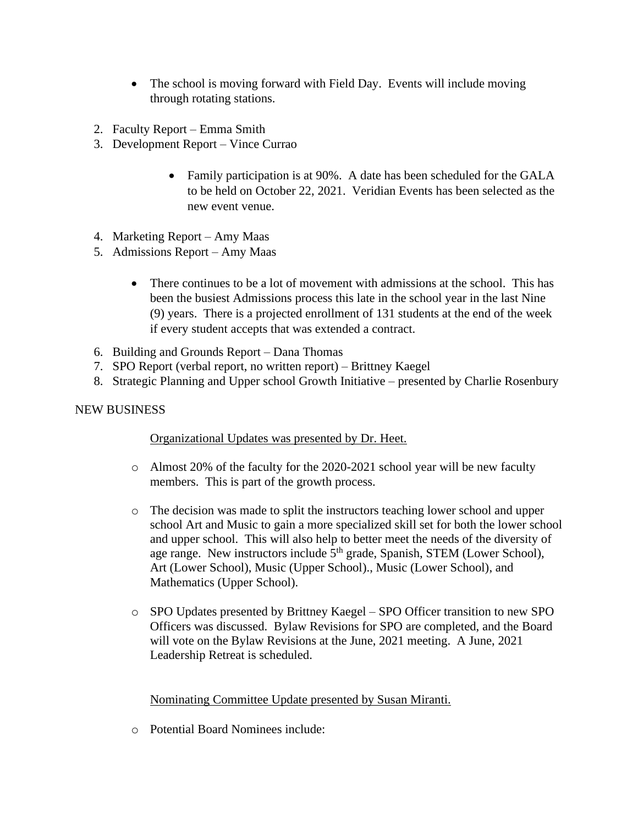- The school is moving forward with Field Day. Events will include moving through rotating stations.
- 2. Faculty Report Emma Smith
- 3. Development Report Vince Currao
	- Family participation is at 90%. A date has been scheduled for the GALA to be held on October 22, 2021. Veridian Events has been selected as the new event venue.
- 4. Marketing Report Amy Maas
- 5. Admissions Report Amy Maas
	- There continues to be a lot of movement with admissions at the school. This has been the busiest Admissions process this late in the school year in the last Nine (9) years. There is a projected enrollment of 131 students at the end of the week if every student accepts that was extended a contract.
- 6. Building and Grounds Report Dana Thomas
- 7. SPO Report (verbal report, no written report) Brittney Kaegel
- 8. Strategic Planning and Upper school Growth Initiative presented by Charlie Rosenbury

## NEW BUSINESS

## Organizational Updates was presented by Dr. Heet.

- o Almost 20% of the faculty for the 2020-2021 school year will be new faculty members. This is part of the growth process.
- o The decision was made to split the instructors teaching lower school and upper school Art and Music to gain a more specialized skill set for both the lower school and upper school. This will also help to better meet the needs of the diversity of and epper send on the same of the state of the grade, Spanish, STEM (Lower School), Art (Lower School), Music (Upper School)., Music (Lower School), and Mathematics (Upper School).
- o SPO Updates presented by Brittney Kaegel SPO Officer transition to new SPO Officers was discussed. Bylaw Revisions for SPO are completed, and the Board will vote on the Bylaw Revisions at the June, 2021 meeting. A June, 2021 Leadership Retreat is scheduled.

## Nominating Committee Update presented by Susan Miranti.

o Potential Board Nominees include: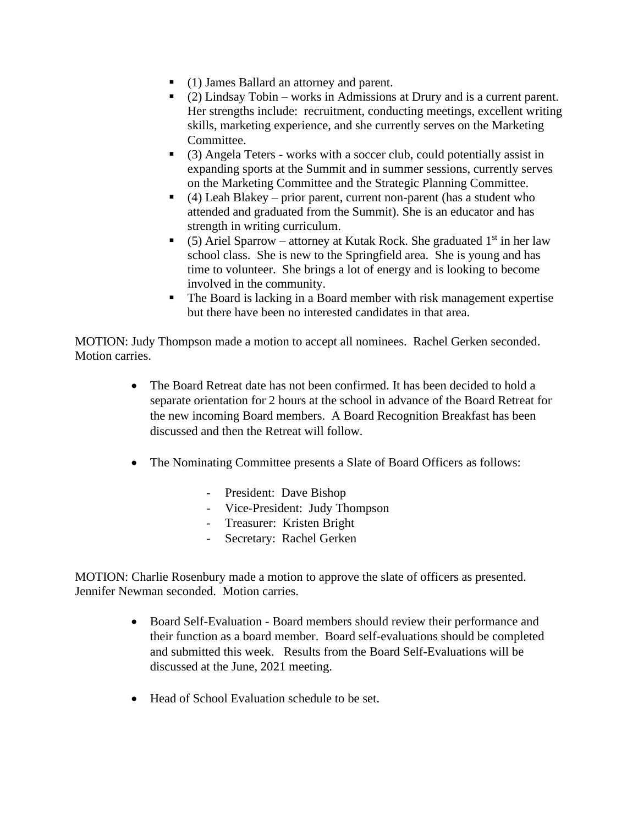- (1) James Ballard an attorney and parent.
- (2) Lindsay Tobin works in Admissions at Drury and is a current parent. Her strengths include: recruitment, conducting meetings, excellent writing skills, marketing experience, and she currently serves on the Marketing Committee.
- (3) Angela Teters works with a soccer club, could potentially assist in expanding sports at the Summit and in summer sessions, currently serves on the Marketing Committee and the Strategic Planning Committee.
- $\bullet$  (4) Leah Blakey prior parent, current non-parent (has a student who attended and graduated from the Summit). She is an educator and has strength in writing curriculum.
- (5) Ariel Sparrow attorney at Kutak Rock. She graduated  $1<sup>st</sup>$  in her law school class. She is new to the Springfield area. She is young and has time to volunteer. She brings a lot of energy and is looking to become involved in the community.
- The Board is lacking in a Board member with risk management expertise but there have been no interested candidates in that area.

MOTION: Judy Thompson made a motion to accept all nominees. Rachel Gerken seconded. Motion carries.

- The Board Retreat date has not been confirmed. It has been decided to hold a separate orientation for 2 hours at the school in advance of the Board Retreat for the new incoming Board members. A Board Recognition Breakfast has been discussed and then the Retreat will follow.
- The Nominating Committee presents a Slate of Board Officers as follows:
	- President: Dave Bishop
	- Vice-President: Judy Thompson
	- Treasurer: Kristen Bright
	- Secretary: Rachel Gerken

MOTION: Charlie Rosenbury made a motion to approve the slate of officers as presented. Jennifer Newman seconded. Motion carries.

- Board Self-Evaluation Board members should review their performance and their function as a board member. Board self-evaluations should be completed and submitted this week. Results from the Board Self-Evaluations will be discussed at the June, 2021 meeting.
- Head of School Evaluation schedule to be set.